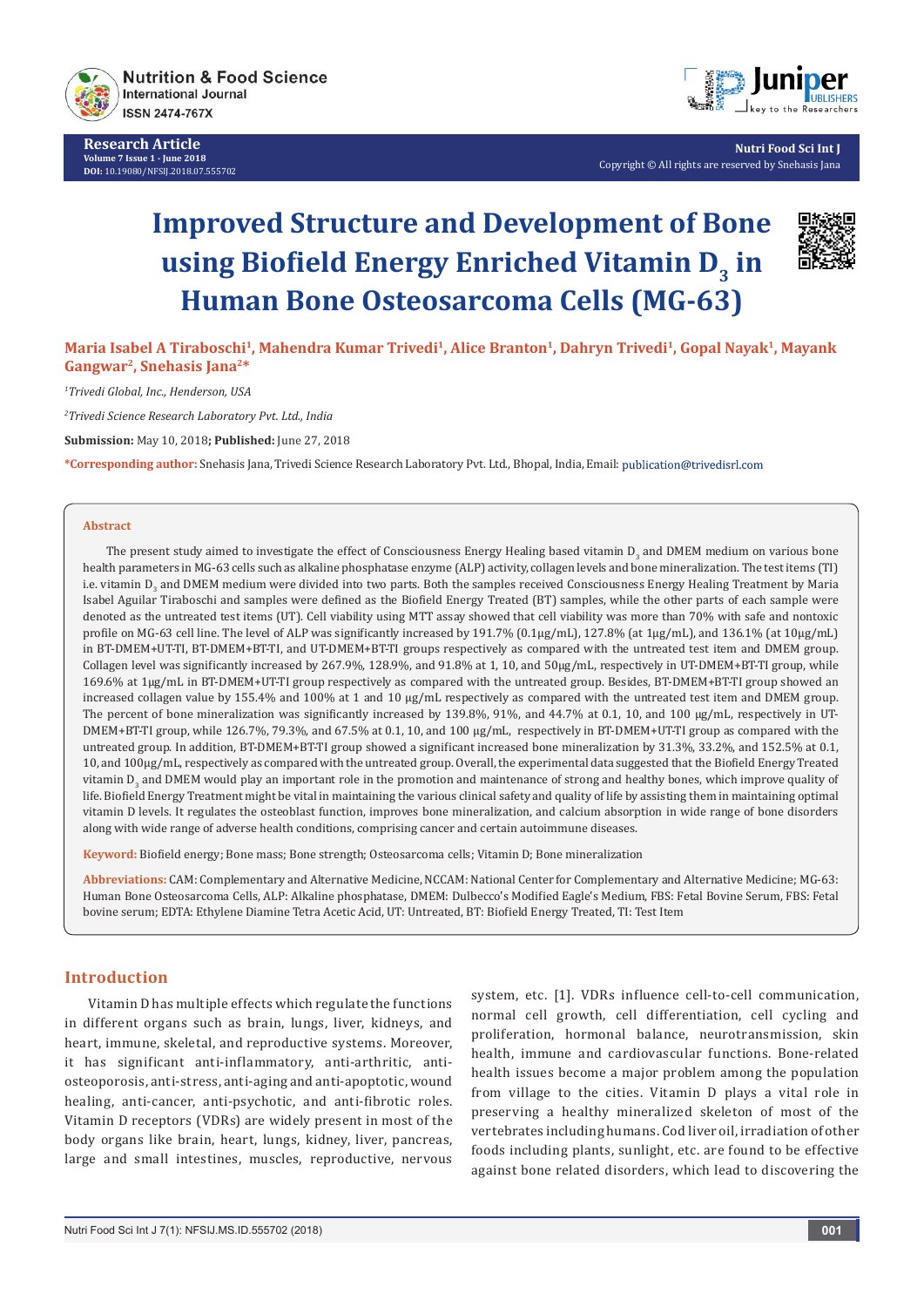

**Research Article Volume 7 Issue 1 - June 2018 DOI:** [10.19080/NFSIJ.2018.07.555702](http://dx.doi.org/10.19080/NFSIJ.2018.07.555702)



**Nutri Food Sci Int J** Copyright © All rights are reserved by Snehasis Jana

# **Improved Structure and Development of Bone using Biofield Energy Enriched Vitamin D3 in Human Bone Osteosarcoma Cells (MG-63)**



**Maria Isabel A Tiraboschi1, Mahendra Kumar Trivedi1, Alice Branton1, Dahryn Trivedi<sup>1</sup>, Gopal Nayak<sup>1</sup>, Mayank Gangwar2, Snehasis Jana2\***

*1 Trivedi Global, Inc., Henderson, USA* 

*2 Trivedi Science Research Laboratory Pvt. Ltd., India*

**Submission:** May 10, 2018**; Published:** June 27, 2018

**\*Corresponding author:** Snehasis Jana, Trivedi Science Research Laboratory Pvt. Ltd., Bhopal, India, Email:

#### **Abstract**

The present study aimed to investigate the effect of Consciousness Energy Healing based vitamin  $D_3$  and DMEM medium on various bone health parameters in MG-63 cells such as alkaline phosphatase enzyme (ALP) activity, collagen levels and bone mineralization. The test items (TI) i.e. vitamin D<sub>3</sub> and DMEM medium were divided into two parts. Both the samples received Consciousness Energy Healing Treatment by Maria Isabel Aguilar Tiraboschi and samples were defined as the Biofield Energy Treated (BT) samples, while the other parts of each sample were denoted as the untreated test items (UT). Cell viability using MTT assay showed that cell viability was more than 70% with safe and nontoxic profile on MG-63 cell line. The level of ALP was significantly increased by 191.7% (0.1µg/mL), 127.8% (at 1µg/mL), and 136.1% (at 10µg/mL) in BT-DMEM+UT-TI, BT-DMEM+BT-TI, and UT-DMEM+BT-TI groups respectively as compared with the untreated test item and DMEM group. Collagen level was significantly increased by 267.9%, 128.9%, and 91.8% at 1, 10, and 50µg/mL, respectively in UT-DMEM+BT-TI group, while 169.6% at 1µg/mL in BT-DMEM+UT-TI group respectively as compared with the untreated group. Besides, BT-DMEM+BT-TI group showed an increased collagen value by 155.4% and 100% at 1 and 10  $\mu$ g/mL respectively as compared with the untreated test item and DMEM group. The percent of bone mineralization was significantly increased by 139.8%, 91%, and 44.7% at 0.1, 10, and 100 µg/mL, respectively in UT-DMEM+BT-TI group, while 126.7%, 79.3%, and 67.5% at 0.1, 10, and 100 µg/mL, respectively in BT-DMEM+UT-TI group as compared with the untreated group. In addition, BT-DMEM+BT-TI group showed a significant increased bone mineralization by 31.3%, 33.2%, and 152.5% at 0.1, 10, and 100µg/mL, respectively as compared with the untreated group. Overall, the experimental data suggested that the Biofield Energy Treated vitamin D<sub>3</sub> and DMEM would play an important role in the promotion and maintenance of strong and healthy bones, which improve quality of life. Biofield Energy Treatment might be vital in maintaining the various clinical safety and quality of life by assisting them in maintaining optimal vitamin D levels. It regulates the osteoblast function, improves bone mineralization, and calcium absorption in wide range of bone disorders along with wide range of adverse health conditions, comprising cancer and certain autoimmune diseases.

**Keyword:** Biofield energy; Bone mass; Bone strength; Osteosarcoma cells; Vitamin D; Bone mineralization

**Abbreviations:** CAM: Complementary and Alternative Medicine, NCCAM: National Center for Complementary and Alternative Medicine; MG-63: Human Bone Osteosarcoma Cells, ALP: Alkaline phosphatase, DMEM: Dulbecco's Modified Eagle's Medium, FBS: Fetal Bovine Serum, FBS: Fetal bovine serum; EDTA: Ethylene Diamine Tetra Acetic Acid, UT: Untreated, BT: Biofield Energy Treated, TI: Test Item

# **Introduction**

Vitamin D has multiple effects which regulate the functions in different organs such as brain, lungs, liver, kidneys, and heart, immune, skeletal, and reproductive systems. Moreover, it has significant anti-inflammatory, anti-arthritic, antiosteoporosis, anti-stress, anti-aging and anti-apoptotic, wound healing, anti-cancer, anti-psychotic, and anti-fibrotic roles. Vitamin D receptors (VDRs) are widely present in most of the body organs like brain, heart, lungs, kidney, liver, pancreas, large and small intestines, muscles, reproductive, nervous

system, etc. [1]. VDRs influence cell-to-cell communication, normal cell growth, cell differentiation, cell cycling and proliferation, hormonal balance, neurotransmission, skin health, immune and cardiovascular functions. Bone-related health issues become a major problem among the population from village to the cities. Vitamin D plays a vital role in preserving a healthy mineralized skeleton of most of the vertebrates including humans. Cod liver oil, irradiation of other foods including plants, sunlight, etc. are found to be effective against bone related disorders, which lead to discovering the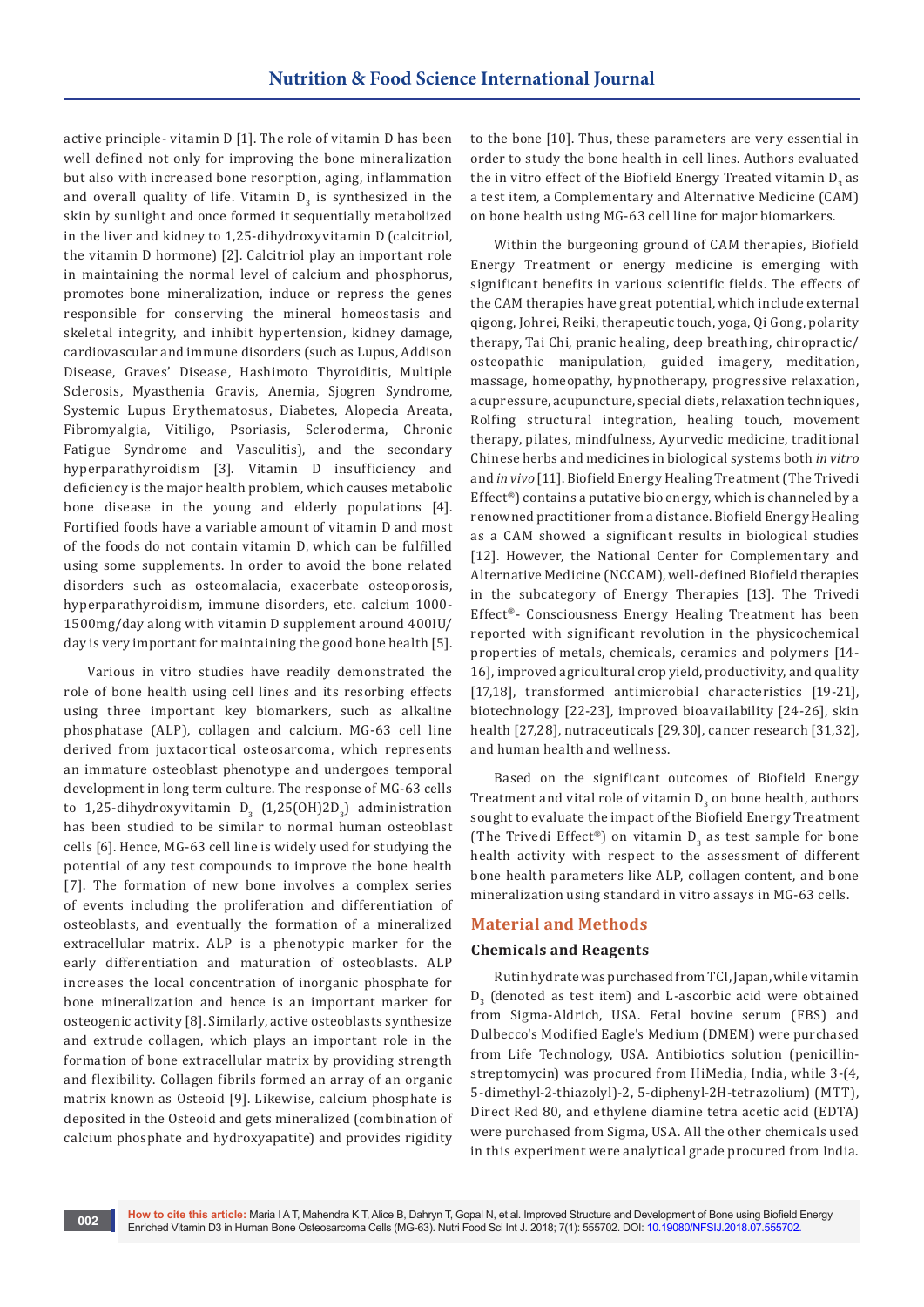active principle- vitamin D [1]. The role of vitamin D has been well defined not only for improving the bone mineralization but also with increased bone resorption, aging, inflammation and overall quality of life. Vitamin  $D_3$  is synthesized in the skin by sunlight and once formed it sequentially metabolized in the liver and kidney to 1,25-dihydroxyvitamin D (calcitriol, the vitamin D hormone) [2]. Calcitriol play an important role in maintaining the normal level of calcium and phosphorus, promotes bone mineralization, induce or repress the genes responsible for conserving the mineral homeostasis and skeletal integrity, and inhibit hypertension, kidney damage, cardiovascular and immune disorders (such as Lupus, Addison Disease, Graves' Disease, Hashimoto Thyroiditis, Multiple Sclerosis, Myasthenia Gravis, Anemia, Sjogren Syndrome, Systemic Lupus Erythematosus, Diabetes, Alopecia Areata, Fibromyalgia, Vitiligo, Psoriasis, Scleroderma, Chronic Fatigue Syndrome and Vasculitis), and the secondary hyperparathyroidism [3]. Vitamin D insufficiency and deficiency is the major health problem, which causes metabolic bone disease in the young and elderly populations [4]. Fortified foods have a variable amount of vitamin D and most of the foods do not contain vitamin D, which can be fulfilled using some supplements. In order to avoid the bone related disorders such as osteomalacia, exacerbate osteoporosis, hyperparathyroidism, immune disorders, etc. calcium 1000- 1500mg/day along with vitamin D supplement around 400IU/ day is very important for maintaining the good bone health [5].

Various in vitro studies have readily demonstrated the role of bone health using cell lines and its resorbing effects using three important key biomarkers, such as alkaline phosphatase (ALP), collagen and calcium. MG-63 cell line derived from juxtacortical osteosarcoma, which represents an immature osteoblast phenotype and undergoes temporal development in long term culture. The response of MG-63 cells to 1,25-dihydroxyvitamin  $D_3$  (1,25(OH)2 $D_3$ ) administration has been studied to be similar to normal human osteoblast cells [6]. Hence, MG-63 cell line is widely used for studying the potential of any test compounds to improve the bone health [7]. The formation of new bone involves a complex series of events including the proliferation and differentiation of osteoblasts, and eventually the formation of a mineralized extracellular matrix. ALP is a phenotypic marker for the early differentiation and maturation of osteoblasts. ALP increases the local concentration of inorganic phosphate for bone mineralization and hence is an important marker for osteogenic activity [8]. Similarly, active osteoblasts synthesize and extrude collagen, which plays an important role in the formation of bone extracellular matrix by providing strength and flexibility. Collagen fibrils formed an array of an organic matrix known as Osteoid [9]. Likewise, calcium phosphate is deposited in the Osteoid and gets mineralized (combination of calcium phosphate and hydroxyapatite) and provides rigidity

to the bone [10]. Thus, these parameters are very essential in order to study the bone health in cell lines. Authors evaluated the in vitro effect of the Biofield Energy Treated vitamin  ${\mathsf D}_3$  as a test item, a Complementary and Alternative Medicine (CAM) on bone health using MG-63 cell line for major biomarkers.

Within the burgeoning ground of CAM therapies, Biofield Energy Treatment or energy medicine is emerging with significant benefits in various scientific fields. The effects of the CAM therapies have great potential, which include external qigong, Johrei, Reiki, therapeutic touch, yoga, Qi Gong, polarity therapy, Tai Chi, pranic healing, deep breathing, chiropractic/ osteopathic manipulation, guided imagery, meditation, massage, homeopathy, hypnotherapy, progressive relaxation, acupressure, acupuncture, special diets, relaxation techniques, Rolfing structural integration, healing touch, movement therapy, pilates, mindfulness, Ayurvedic medicine, traditional Chinese herbs and medicines in biological systems both *in vitro*  and *in vivo* [11]. Biofield Energy Healing Treatment (The Trivedi Effect®) contains a putative bio energy, which is channeled by a renowned practitioner from a distance. Biofield Energy Healing as a CAM showed a significant results in biological studies [12]. However, the National Center for Complementary and Alternative Medicine (NCCAM), well-defined Biofield therapies in the subcategory of Energy Therapies [13]. The Trivedi Effect®- Consciousness Energy Healing Treatment has been reported with significant revolution in the physicochemical properties of metals, chemicals, ceramics and polymers [14- 16], improved agricultural crop yield, productivity, and quality [17,18], transformed antimicrobial characteristics [19-21], biotechnology [22-23], improved bioavailability [24-26], skin health [27,28], nutraceuticals [29,30], cancer research [31,32], and human health and wellness.

Based on the significant outcomes of Biofield Energy Treatment and vital role of vitamin  $D_{\overline{3}}$  on bone health, authors sought to evaluate the impact of the Biofield Energy Treatment (The Trivedi Effect®) on vitamin  $D_3$  as test sample for bone health activity with respect to the assessment of different bone health parameters like ALP, collagen content, and bone mineralization using standard in vitro assays in MG-63 cells.

# **Material and Methods**

# **Chemicals and Reagents**

Rutin hydrate was purchased from TCI, Japan, while vitamin  $D_3$  (denoted as test item) and L-ascorbic acid were obtained from Sigma-Aldrich, USA. Fetal bovine serum (FBS) and Dulbecco's Modified Eagle's Medium (DMEM) were purchased from Life Technology, USA. Antibiotics solution (penicillinstreptomycin) was procured from HiMedia, India, while 3-(4, 5-dimethyl-2-thiazolyl)-2, 5-diphenyl-2H-tetrazolium) (MTT), Direct Red 80, and ethylene diamine tetra acetic acid (EDTA) were purchased from Sigma, USA. All the other chemicals used in this experiment were analytical grade procured from India.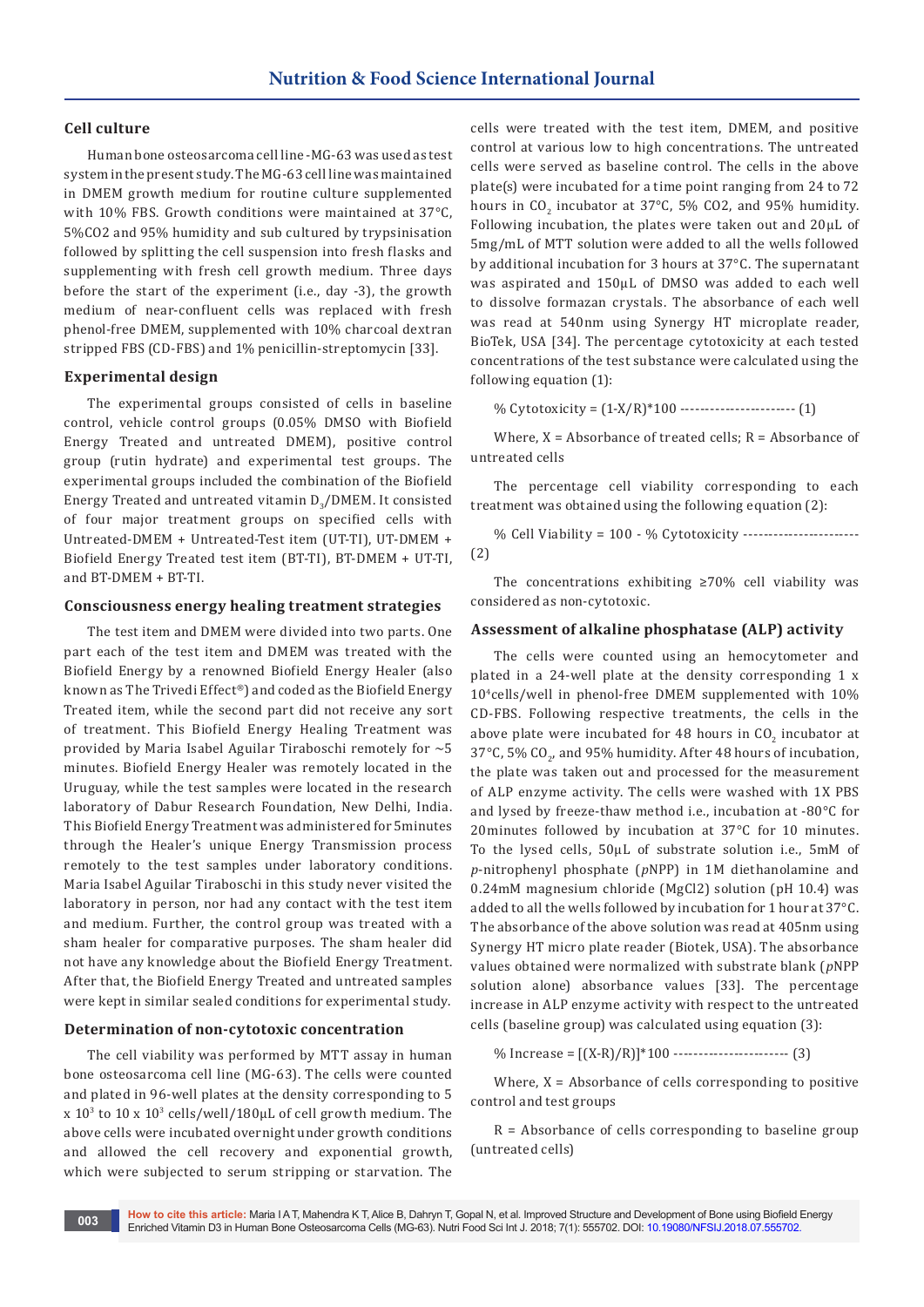# **Cell culture**

Human bone osteosarcoma cell line -MG-63 was used as test system in the present study. The MG-63 cell line was maintained in DMEM growth medium for routine culture supplemented with 10% FBS. Growth conditions were maintained at 37°C, 5%CO2 and 95% humidity and sub cultured by trypsinisation followed by splitting the cell suspension into fresh flasks and supplementing with fresh cell growth medium. Three days before the start of the experiment (i.e., day -3), the growth medium of near-confluent cells was replaced with fresh phenol-free DMEM, supplemented with 10% charcoal dextran stripped FBS (CD-FBS) and 1% penicillin-streptomycin [33].

#### **Experimental design**

The experimental groups consisted of cells in baseline control, vehicle control groups (0.05% DMSO with Biofield Energy Treated and untreated DMEM), positive control group (rutin hydrate) and experimental test groups. The experimental groups included the combination of the Biofield Energy Treated and untreated vitamin  $D_{3}/D$ MEM. It consisted of four major treatment groups on specified cells with Untreated-DMEM + Untreated-Test item (UT-TI), UT-DMEM + Biofield Energy Treated test item (BT-TI), BT-DMEM + UT-TI, and BT-DMEM + BT-TI.

# **Consciousness energy healing treatment strategies**

The test item and DMEM were divided into two parts. One part each of the test item and DMEM was treated with the Biofield Energy by a renowned Biofield Energy Healer (also known as The Trivedi Effect®) and coded as the Biofield Energy Treated item, while the second part did not receive any sort of treatment. This Biofield Energy Healing Treatment was provided by Maria Isabel Aguilar Tiraboschi remotely for  $\sim$  5 minutes. Biofield Energy Healer was remotely located in the Uruguay, while the test samples were located in the research laboratory of Dabur Research Foundation, New Delhi, India. This Biofield Energy Treatment was administered for 5minutes through the Healer's unique Energy Transmission process remotely to the test samples under laboratory conditions. Maria Isabel Aguilar Tiraboschi in this study never visited the laboratory in person, nor had any contact with the test item and medium. Further, the control group was treated with a sham healer for comparative purposes. The sham healer did not have any knowledge about the Biofield Energy Treatment. After that, the Biofield Energy Treated and untreated samples were kept in similar sealed conditions for experimental study.

#### **Determination of non-cytotoxic concentration**

The cell viability was performed by MTT assay in human bone osteosarcoma cell line (MG-63). The cells were counted and plated in 96-well plates at the density corresponding to 5  $\rm x$  10<sup>3</sup> to 10  $\rm x$  10<sup>3</sup> cells/well/180 $\rm \mu L$  of cell growth medium. The above cells were incubated overnight under growth conditions and allowed the cell recovery and exponential growth, which were subjected to serum stripping or starvation. The

cells were treated with the test item, DMEM, and positive control at various low to high concentrations. The untreated cells were served as baseline control. The cells in the above plate(s) were incubated for a time point ranging from 24 to 72 hours in  $CO_2$  incubator at 37°C, 5% CO2, and 95% humidity. Following incubation, the plates were taken out and 20µL of 5mg/mL of MTT solution were added to all the wells followed by additional incubation for 3 hours at 37°C. The supernatant was aspirated and 150µL of DMSO was added to each well to dissolve formazan crystals. The absorbance of each well was read at 540nm using Synergy HT microplate reader, BioTek, USA [34]. The percentage cytotoxicity at each tested concentrations of the test substance were calculated using the following equation (1):

% Cytotoxicity =  $(1-X/R)^*100$  -----------------------------  $(1)$ 

Where,  $X = Absorbance$  of treated cells;  $R = Absorbance$  of untreated cells

The percentage cell viability corresponding to each treatment was obtained using the following equation (2):

% Cell Viability = 100 - % Cytotoxicity ----------------------- (2)

The concentrations exhibiting ≥70% cell viability was considered as non-cytotoxic.

#### **Assessment of alkaline phosphatase (ALP) activity**

The cells were counted using an hemocytometer and plated in a 24-well plate at the density corresponding 1 x 104cells/well in phenol-free DMEM supplemented with 10% CD-FBS. Following respective treatments, the cells in the above plate were incubated for 48 hours in  $\mathfrak{CO}_{2}$  incubator at 37 $^{\circ}$ C, 5% CO<sub>2</sub>, and 95% humidity. After 48 hours of incubation, the plate was taken out and processed for the measurement of ALP enzyme activity. The cells were washed with 1X PBS and lysed by freeze-thaw method i.e., incubation at -80°C for 20minutes followed by incubation at 37°C for 10 minutes. To the lysed cells, 50µL of substrate solution i.e., 5mM of *p*-nitrophenyl phosphate (*p*NPP) in 1M diethanolamine and 0.24mM magnesium chloride (MgCl2) solution (pH 10.4) was added to all the wells followed by incubation for 1 hour at 37°C. The absorbance of the above solution was read at 405nm using Synergy HT micro plate reader (Biotek, USA). The absorbance values obtained were normalized with substrate blank (*p*NPP solution alone) absorbance values [33]. The percentage increase in ALP enzyme activity with respect to the untreated cells (baseline group) was calculated using equation (3):

% Increase =  $[(X-R)/R]^*100$  -------------------------- (3)

Where,  $X =$  Absorbance of cells corresponding to positive control and test groups

R = Absorbance of cells corresponding to baseline group (untreated cells)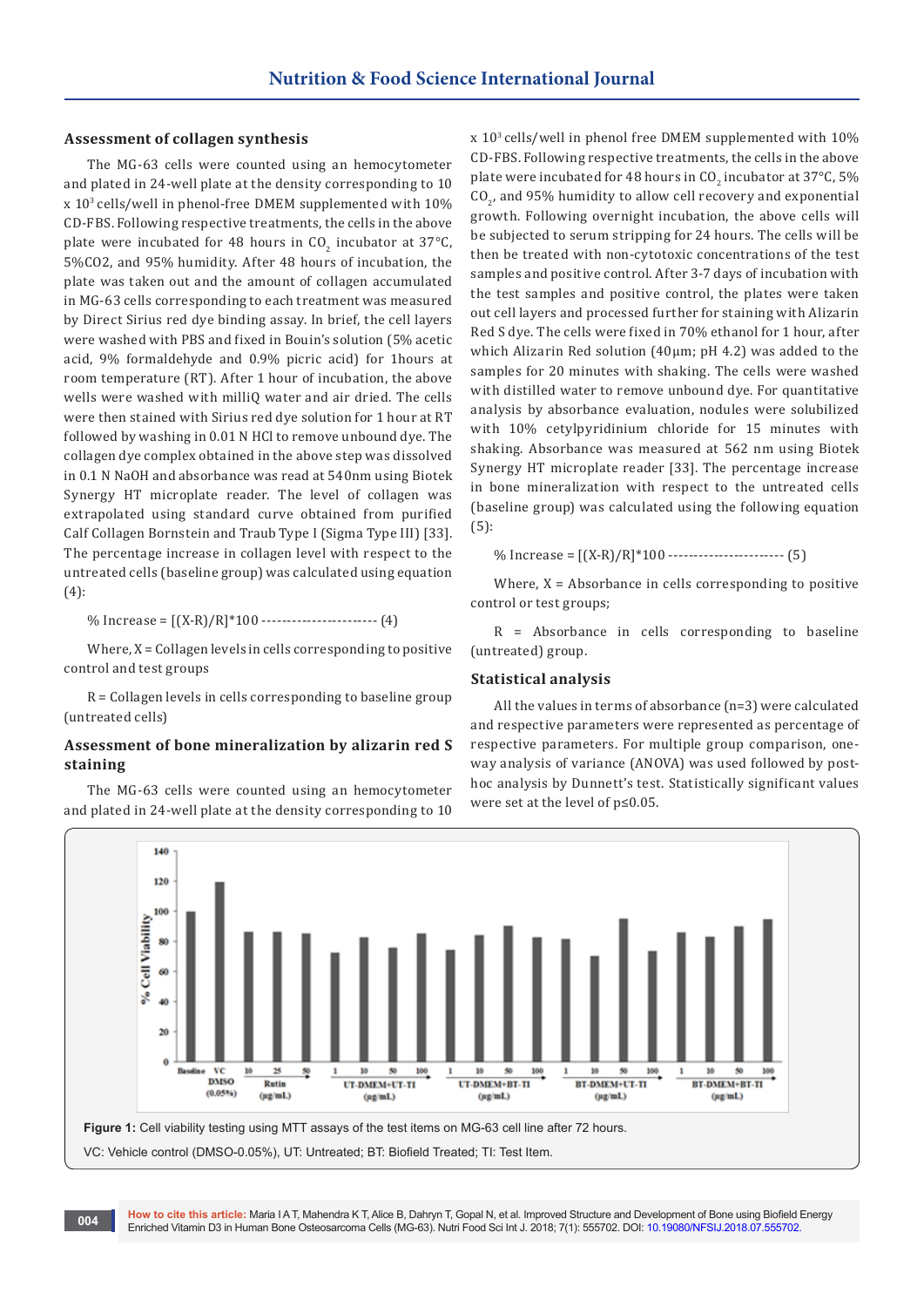# **Assessment of collagen synthesis**

The MG-63 cells were counted using an hemocytometer and plated in 24-well plate at the density corresponding to 10 x 103 cells/well in phenol-free DMEM supplemented with 10% CD-FBS. Following respective treatments, the cells in the above plate were incubated for 48 hours in  $CO_2$  incubator at 37 °C, 5%CO2, and 95% humidity. After 48 hours of incubation, the plate was taken out and the amount of collagen accumulated in MG-63 cells corresponding to each treatment was measured by Direct Sirius red dye binding assay. In brief, the cell layers were washed with PBS and fixed in Bouin's solution (5% acetic acid, 9% formaldehyde and 0.9% picric acid) for 1hours at room temperature (RT). After 1 hour of incubation, the above wells were washed with milliQ water and air dried. The cells were then stained with Sirius red dye solution for 1 hour at RT followed by washing in 0.01 N HCl to remove unbound dye. The collagen dye complex obtained in the above step was dissolved in 0.1 N NaOH and absorbance was read at 540nm using Biotek Synergy HT microplate reader. The level of collagen was extrapolated using standard curve obtained from purified Calf Collagen Bornstein and Traub Type I (Sigma Type III) [33]. The percentage increase in collagen level with respect to the untreated cells (baseline group) was calculated using equation (4):

% Increase =  $[(X-R)/R]^*100$  --------------------------- (4)

Where,  $X = Collagen$  levels in cells corresponding to positive control and test groups

R = Collagen levels in cells corresponding to baseline group (untreated cells)

# **Assessment of bone mineralization by alizarin red S staining**

The MG-63 cells were counted using an hemocytometer and plated in 24-well plate at the density corresponding to 10 x 103 cells/well in phenol free DMEM supplemented with 10% CD-FBS. Following respective treatments, the cells in the above plate were incubated for 48 hours in CO<sub>2</sub> incubator at 37°C, 5% CO<sub>2</sub>, and 95% humidity to allow cell recovery and exponential growth. Following overnight incubation, the above cells will be subjected to serum stripping for 24 hours. The cells will be then be treated with non-cytotoxic concentrations of the test samples and positive control. After 3-7 days of incubation with the test samples and positive control, the plates were taken out cell layers and processed further for staining with Alizarin Red S dye. The cells were fixed in 70% ethanol for 1 hour, after which Alizarin Red solution (40µm; pH 4.2) was added to the samples for 20 minutes with shaking. The cells were washed with distilled water to remove unbound dye. For quantitative analysis by absorbance evaluation, nodules were solubilized with 10% cetylpyridinium chloride for 15 minutes with shaking. Absorbance was measured at 562 nm using Biotek Synergy HT microplate reader [33]. The percentage increase in bone mineralization with respect to the untreated cells (baseline group) was calculated using the following equation (5):

% Increase =  $[(X-R)/R]^*100$  -------------------------- (5)

Where,  $X = Absorbane$  in cells corresponding to positive control or test groups;

R = Absorbance in cells corresponding to baseline (untreated) group.

#### **Statistical analysis**

All the values in terms of absorbance (n=3) were calculated and respective parameters were represented as percentage of respective parameters. For multiple group comparison, oneway analysis of variance (ANOVA) was used followed by posthoc analysis by Dunnett's test. Statistically significant values were set at the level of p≤0.05.



**How to cite this article:** Maria I A T, Mahendra K T, Alice B, Dahryn T, Gopal N, et al. Improved Structure and Development of Bone using Biofield Energy Enriched Vitamin D3 in Human Bone Osteosarcoma Cells (MG-63). Nutri Food Sci Int J. 2018; 7(1): 555702. DOI: [10.19080/NFSIJ.2018.07.555702.](http://dx.doi.org/10.19080/NFSIJ.2018.07.555702) **<sup>004</sup>**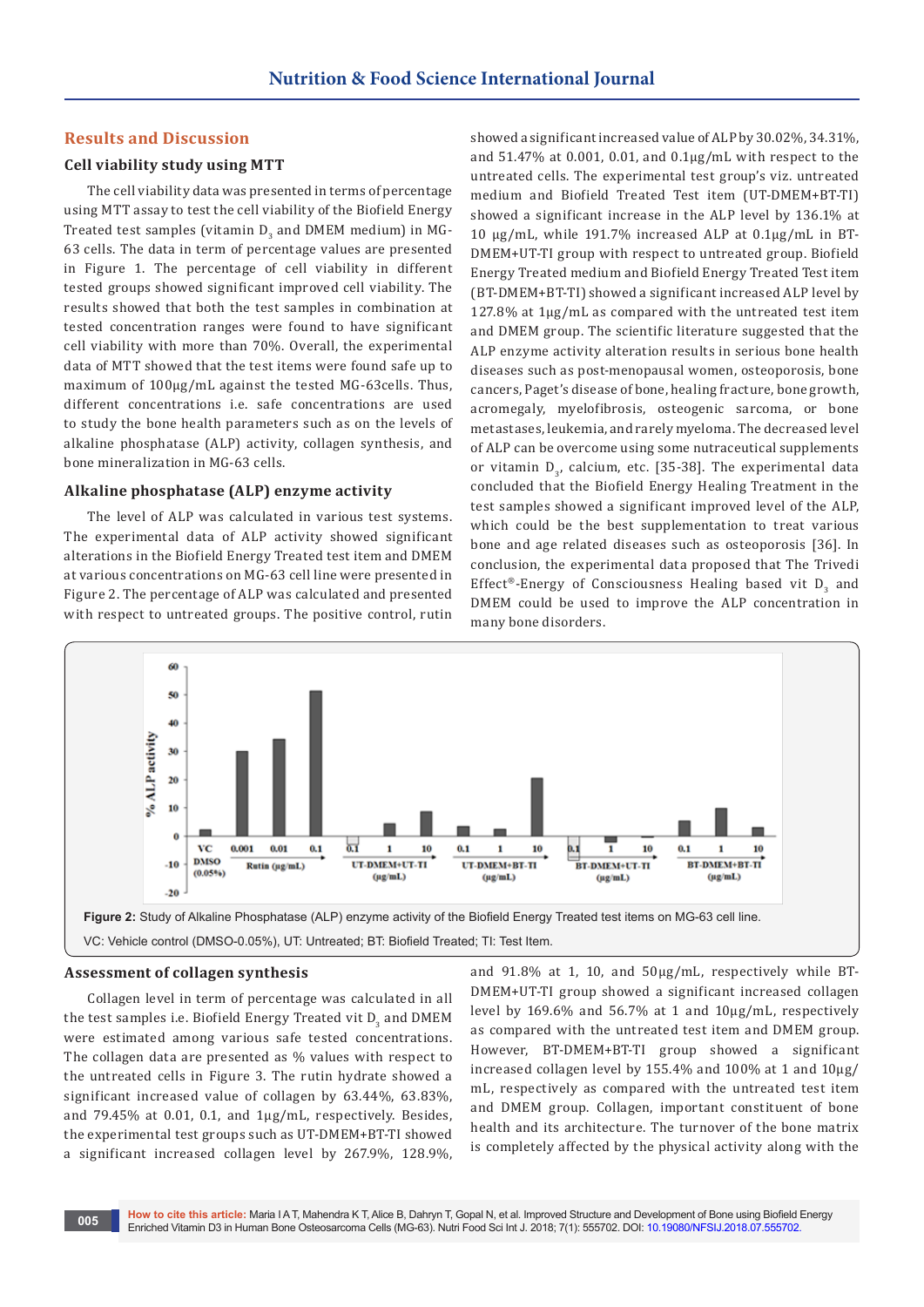# **Results and Discussion**

# **Cell viability study using MTT**

The cell viability data was presented in terms of percentage using MTT assay to test the cell viability of the Biofield Energy Treated test samples (vitamin  $D_3$  and DMEM medium) in MG-63 cells. The data in term of percentage values are presented in Figure 1. The percentage of cell viability in different tested groups showed significant improved cell viability. The results showed that both the test samples in combination at tested concentration ranges were found to have significant cell viability with more than 70%. Overall, the experimental data of MTT showed that the test items were found safe up to maximum of  $100\mu$ g/mL against the tested MG-63cells. Thus, different concentrations i.e. safe concentrations are used to study the bone health parameters such as on the levels of alkaline phosphatase (ALP) activity, collagen synthesis, and bone mineralization in MG-63 cells.

#### **Alkaline phosphatase (ALP) enzyme activity**

The level of ALP was calculated in various test systems. The experimental data of ALP activity showed significant alterations in the Biofield Energy Treated test item and DMEM at various concentrations on MG-63 cell line were presented in Figure 2. The percentage of ALP was calculated and presented with respect to untreated groups. The positive control, rutin

showed a significant increased value of ALP by 30.02%, 34.31%, and 51.47% at 0.001, 0.01, and 0.1µg/mL with respect to the untreated cells. The experimental test group's viz. untreated medium and Biofield Treated Test item (UT-DMEM+BT-TI) showed a significant increase in the ALP level by 136.1% at 10 µg/mL, while 191.7% increased ALP at 0.1µg/mL in BT-DMEM+UT-TI group with respect to untreated group. Biofield Energy Treated medium and Biofield Energy Treated Test item (BT-DMEM+BT-TI) showed a significant increased ALP level by 127.8% at 1µg/mL as compared with the untreated test item and DMEM group. The scientific literature suggested that the ALP enzyme activity alteration results in serious bone health diseases such as post-menopausal women, osteoporosis, bone cancers, Paget's disease of bone, healing fracture, bone growth, acromegaly, myelofibrosis, osteogenic sarcoma, or bone metastases, leukemia, and rarely myeloma. The decreased level of ALP can be overcome using some nutraceutical supplements or vitamin  $D<sub>2</sub>$ , calcium, etc. [35-38]. The experimental data concluded that the Biofield Energy Healing Treatment in the test samples showed a significant improved level of the ALP, which could be the best supplementation to treat various bone and age related diseases such as osteoporosis [36]. In conclusion, the experimental data proposed that The Trivedi Effect®-Energy of Consciousness Healing based vit  $D_3$  and DMEM could be used to improve the ALP concentration in many bone disorders.



#### **Assessment of collagen synthesis**

Collagen level in term of percentage was calculated in all the test samples i.e. Biofield Energy Treated vit  $\mathtt{D}_3$  and  $\mathtt{DMEM}$ were estimated among various safe tested concentrations. The collagen data are presented as % values with respect to the untreated cells in Figure 3. The rutin hydrate showed a significant increased value of collagen by 63.44%, 63.83%, and 79.45% at 0.01, 0.1, and 1µg/mL, respectively. Besides, the experimental test groups such as UT-DMEM+BT-TI showed a significant increased collagen level by 267.9%, 128.9%,

and 91.8% at 1, 10, and 50µg/mL, respectively while BT-DMEM+UT-TI group showed a significant increased collagen level by 169.6% and 56.7% at 1 and 10µg/mL, respectively as compared with the untreated test item and DMEM group. However, BT-DMEM+BT-TI group showed a significant increased collagen level by 155.4% and 100% at 1 and 10µg/ mL, respectively as compared with the untreated test item and DMEM group. Collagen, important constituent of bone health and its architecture. The turnover of the bone matrix is completely affected by the physical activity along with the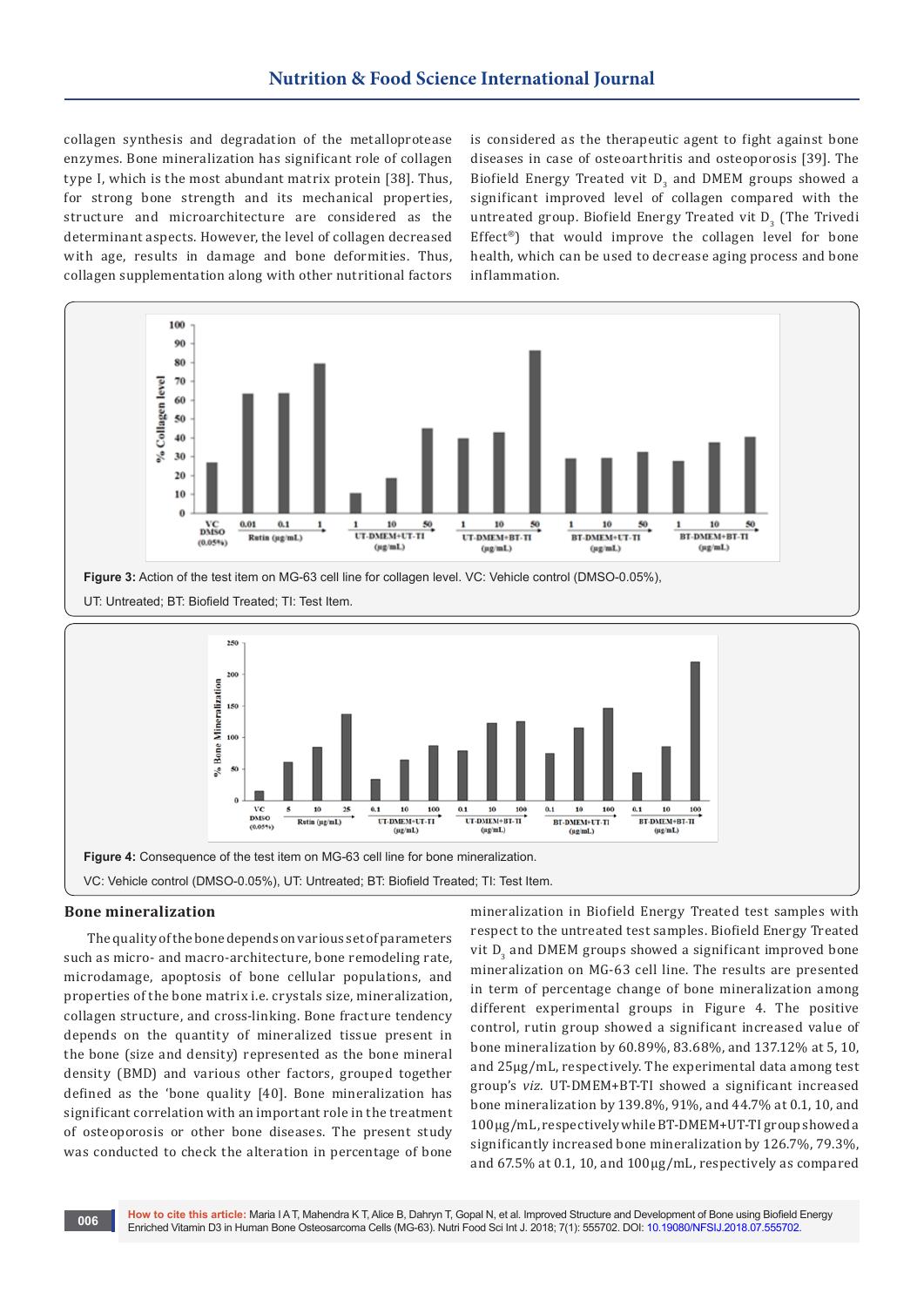collagen synthesis and degradation of the metalloprotease enzymes. Bone mineralization has significant role of collagen type I, which is the most abundant matrix protein [38]. Thus, for strong bone strength and its mechanical properties, structure and microarchitecture are considered as the determinant aspects. However, the level of collagen decreased with age, results in damage and bone deformities. Thus, collagen supplementation along with other nutritional factors is considered as the therapeutic agent to fight against bone diseases in case of osteoarthritis and osteoporosis [39]. The Biofield Energy Treated vit  $D_3$  and DMEM groups showed a significant improved level of collagen compared with the untreated group. Biofield Energy Treated vit  $D_{3}^{\text{}}$  (The Trivedi Effect®) that would improve the collagen level for bone health, which can be used to decrease aging process and bone inflammation.





# **Bone mineralization**

The quality of the bone depends on various set of parameters such as micro- and macro-architecture, bone remodeling rate, microdamage, apoptosis of bone cellular populations, and properties of the bone matrix i.e. crystals size, mineralization, collagen structure, and cross-linking. Bone fracture tendency depends on the quantity of mineralized tissue present in the bone (size and density) represented as the bone mineral density (BMD) and various other factors, grouped together defined as the 'bone quality [40]. Bone mineralization has significant correlation with an important role in the treatment of osteoporosis or other bone diseases. The present study was conducted to check the alteration in percentage of bone

mineralization in Biofield Energy Treated test samples with respect to the untreated test samples. Biofield Energy Treated vit  $D_3$  and DMEM groups showed a significant improved bone mineralization on MG-63 cell line. The results are presented in term of percentage change of bone mineralization among different experimental groups in Figure 4. The positive control, rutin group showed a significant increased value of bone mineralization by 60.89%, 83.68%, and 137.12% at 5, 10, and 25µg/mL, respectively. The experimental data among test group's *viz.* UT-DMEM+BT-TI showed a significant increased bone mineralization by 139.8%, 91%, and 44.7% at 0.1, 10, and 100µg/mL, respectively while BT-DMEM+UT-TI group showed a significantly increased bone mineralization by 126.7%, 79.3%, and 67.5% at 0.1, 10, and 100µg/mL, respectively as compared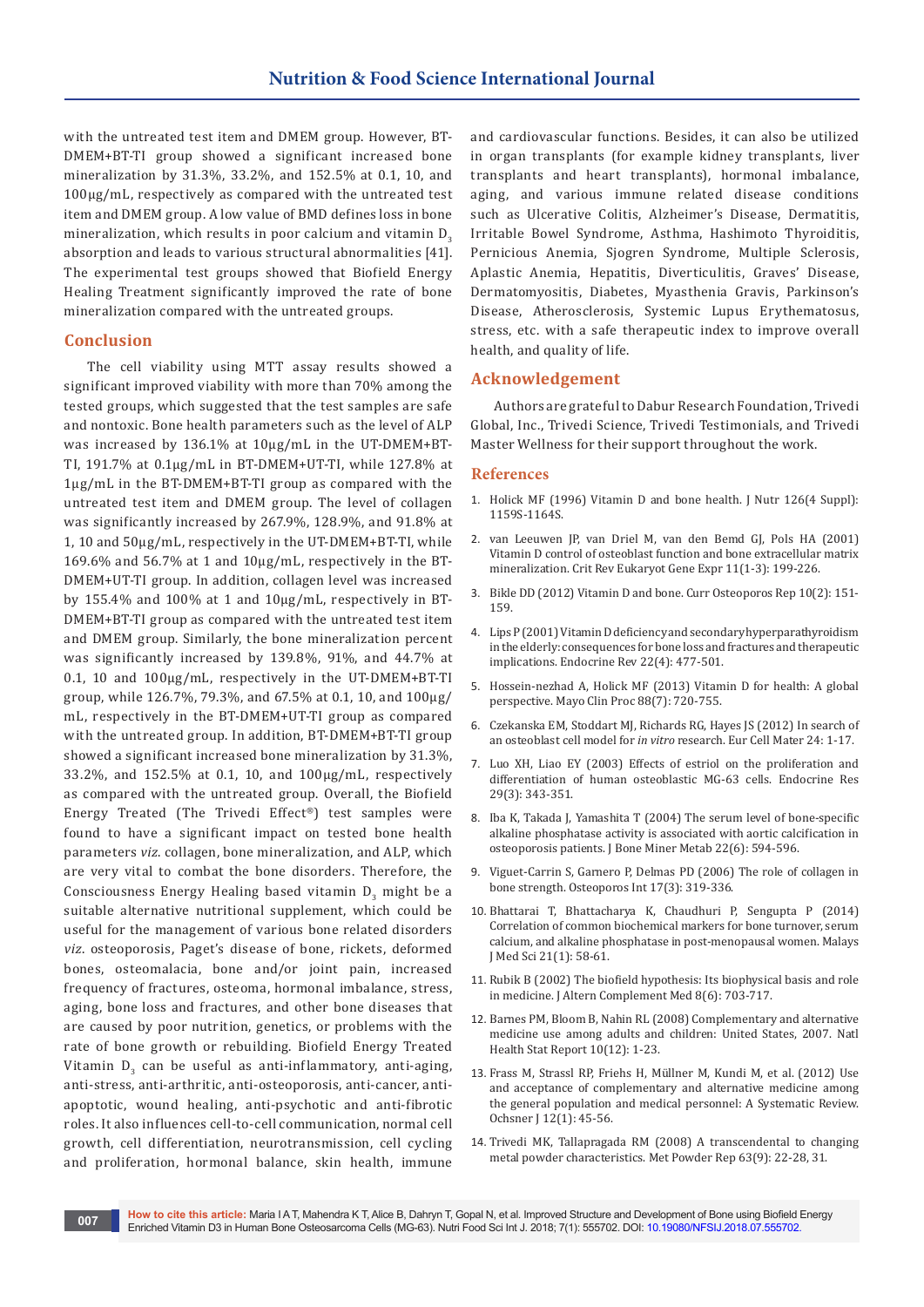with the untreated test item and DMEM group. However, BT-DMEM+BT-TI group showed a significant increased bone mineralization by 31.3%, 33.2%, and 152.5% at 0.1, 10, and 100µg/mL, respectively as compared with the untreated test item and DMEM group. A low value of BMD defines loss in bone mineralization, which results in poor calcium and vitamin  $D<sub>a</sub>$ absorption and leads to various structural abnormalities [41]. The experimental test groups showed that Biofield Energy Healing Treatment significantly improved the rate of bone mineralization compared with the untreated groups.

### **Conclusion**

The cell viability using MTT assay results showed a significant improved viability with more than 70% among the tested groups, which suggested that the test samples are safe and nontoxic. Bone health parameters such as the level of ALP was increased by 136.1% at 10µg/mL in the UT-DMEM+BT-TI, 191.7% at 0.1µg/mL in BT-DMEM+UT-TI, while 127.8% at 1µg/mL in the BT-DMEM+BT-TI group as compared with the untreated test item and DMEM group. The level of collagen was significantly increased by 267.9%, 128.9%, and 91.8% at 1, 10 and 50µg/mL, respectively in the UT-DMEM+BT-TI, while 169.6% and 56.7% at 1 and 10µg/mL, respectively in the BT-DMEM+UT-TI group. In addition, collagen level was increased by 155.4% and 100% at 1 and 10µg/mL, respectively in BT-DMEM+BT-TI group as compared with the untreated test item and DMEM group. Similarly, the bone mineralization percent was significantly increased by 139.8%, 91%, and 44.7% at 0.1, 10 and 100µg/mL, respectively in the UT-DMEM+BT-TI group, while 126.7%, 79.3%, and 67.5% at 0.1, 10, and 100µg/ mL, respectively in the BT-DMEM+UT-TI group as compared with the untreated group. In addition, BT-DMEM+BT-TI group showed a significant increased bone mineralization by 31.3%, 33.2%, and 152.5% at 0.1, 10, and 100µg/mL, respectively as compared with the untreated group. Overall, the Biofield Energy Treated (The Trivedi Effect®) test samples were found to have a significant impact on tested bone health parameters *viz*. collagen, bone mineralization, and ALP, which are very vital to combat the bone disorders. Therefore, the Consciousness Energy Healing based vitamin  $D_3^{\phantom{\dag}}$  might be a suitable alternative nutritional supplement, which could be useful for the management of various bone related disorders *viz*. osteoporosis, Paget's disease of bone, rickets, deformed bones, osteomalacia, bone and/or joint pain, increased frequency of fractures, osteoma, hormonal imbalance, stress, aging, bone loss and fractures, and other bone diseases that are caused by poor nutrition, genetics, or problems with the rate of bone growth or rebuilding. Biofield Energy Treated Vitamin  $D_3$  can be useful as anti-inflammatory, anti-aging, anti-stress, anti-arthritic, anti-osteoporosis, anti-cancer, antiapoptotic, wound healing, anti-psychotic and anti-fibrotic roles. It also influences cell-to-cell communication, normal cell growth, cell differentiation, neurotransmission, cell cycling and proliferation, hormonal balance, skin health, immune

and cardiovascular functions. Besides, it can also be utilized in organ transplants (for example kidney transplants, liver transplants and heart transplants), hormonal imbalance, aging, and various immune related disease conditions such as Ulcerative Colitis, Alzheimer's Disease, Dermatitis, Irritable Bowel Syndrome, Asthma, Hashimoto Thyroiditis, Pernicious Anemia, Sjogren Syndrome, Multiple Sclerosis, Aplastic Anemia, Hepatitis, Diverticulitis, Graves' Disease, Dermatomyositis, Diabetes, Myasthenia Gravis, Parkinson's Disease, Atherosclerosis, Systemic Lupus Erythematosus, stress, etc. with a safe therapeutic index to improve overall health, and quality of life.

# **Acknowledgement**

Authors are grateful to Dabur Research Foundation, Trivedi Global, Inc., Trivedi Science, Trivedi Testimonials, and Trivedi Master Wellness for their support throughout the work.

#### **References**

- 1. [Holick MF \(1996\) Vitamin D and bone health. J Nutr 126\(4 Suppl\):](https://www.ncbi.nlm.nih.gov/pubmed/8642450)  [1159S-1164S.](https://www.ncbi.nlm.nih.gov/pubmed/8642450)
- 2. [van Leeuwen JP, van Driel M, van den Bemd GJ, Pols HA \(2001\)](https://www.ncbi.nlm.nih.gov/pubmed/11693961)  [Vitamin D control of osteoblast function and bone extracellular matrix](https://www.ncbi.nlm.nih.gov/pubmed/11693961)  [mineralization. Crit Rev Eukaryot Gene Expr 11\(1-3\): 199-226.](https://www.ncbi.nlm.nih.gov/pubmed/11693961)
- 3. [Bikle DD \(2012\) Vitamin D and bone. Curr Osteoporos Rep 10\(2\): 151-](https://www.ncbi.nlm.nih.gov/pubmed/22544628/) [159.](https://www.ncbi.nlm.nih.gov/pubmed/22544628/)
- 4. [Lips P \(2001\) Vitamin D deficiency and secondary hyperparathyroidism](https://www.ncbi.nlm.nih.gov/pubmed/11493580)  [in the elderly: consequences for bone loss and fractures and therapeutic](https://www.ncbi.nlm.nih.gov/pubmed/11493580)  [implications. Endocrine Rev 22\(4\): 477-501.](https://www.ncbi.nlm.nih.gov/pubmed/11493580)
- 5. [Hossein-nezhad A, Holick MF \(2013\) Vitamin D for health: A global](https://www.ncbi.nlm.nih.gov/pubmed/23790560)  [perspective. Mayo Clin Proc 88\(7\): 720-755.](https://www.ncbi.nlm.nih.gov/pubmed/23790560)
- 6. [Czekanska EM, Stoddart MJ, Richards RG, Hayes JS \(2012\) In search of](https://www.ncbi.nlm.nih.gov/pubmed/22777949)  an osteoblast cell model for *in vitro* [research. Eur Cell Mater 24: 1-17.](https://www.ncbi.nlm.nih.gov/pubmed/22777949)
- 7. [Luo XH, Liao EY \(2003\) Effects of estriol on the proliferation and](https://www.ncbi.nlm.nih.gov/pubmed/14535635)  [differentiation of human osteoblastic MG-63 cells. Endocrine Res](https://www.ncbi.nlm.nih.gov/pubmed/14535635)  [29\(3\): 343-351.](https://www.ncbi.nlm.nih.gov/pubmed/14535635)
- 8. [Iba K, Takada J, Yamashita T \(2004\) The serum level of bone-specific](https://www.ncbi.nlm.nih.gov/pubmed/15490270)  [alkaline phosphatase activity is associated with aortic calcification in](https://www.ncbi.nlm.nih.gov/pubmed/15490270)  [osteoporosis patients. J Bone Miner Metab 22\(6\): 594-596.](https://www.ncbi.nlm.nih.gov/pubmed/15490270)
- 9. [Viguet-Carrin S, Garnero P, Delmas PD \(2006\) The role of collagen in](https://www.ncbi.nlm.nih.gov/pubmed/16341622)  [bone strength. Osteoporos Int 17\(3\): 319-336.](https://www.ncbi.nlm.nih.gov/pubmed/16341622)
- 10. [Bhattarai T, Bhattacharya K, Chaudhuri P, Sengupta P \(2014\)](https://www.ncbi.nlm.nih.gov/pubmed/24639613)  [Correlation of common biochemical markers for bone turnover, serum](https://www.ncbi.nlm.nih.gov/pubmed/24639613)  [calcium, and alkaline phosphatase in post-menopausal women. Malays](https://www.ncbi.nlm.nih.gov/pubmed/24639613)  [J Med Sci 21\(1\): 58-61.](https://www.ncbi.nlm.nih.gov/pubmed/24639613)
- 11. [Rubik B \(2002\) The biofield hypothesis: Its biophysical basis and role](https://www.ncbi.nlm.nih.gov/pubmed/12614524)  [in medicine. J Altern Complement Med 8\(6\): 703-717.](https://www.ncbi.nlm.nih.gov/pubmed/12614524)
- 12. [Barnes PM, Bloom B, Nahin RL \(2008\) Complementary and alternative](https://www.ncbi.nlm.nih.gov/pubmed/19361005)  [medicine use among adults and children: United States, 2007. Natl](https://www.ncbi.nlm.nih.gov/pubmed/19361005)  [Health Stat Report 10\(12\): 1-23.](https://www.ncbi.nlm.nih.gov/pubmed/19361005)
- 13. [Frass M, Strassl RP, Friehs H, Müllner M, Kundi M, et al. \(2012\) Use](https://www.ncbi.nlm.nih.gov/pubmed/22438782)  [and acceptance of complementary and alternative medicine among](https://www.ncbi.nlm.nih.gov/pubmed/22438782)  [the general population and medical personnel: A Systematic Review.](https://www.ncbi.nlm.nih.gov/pubmed/22438782)  [Ochsner J 12\(1\): 45-56.](https://www.ncbi.nlm.nih.gov/pubmed/22438782)
- 14. [Trivedi MK, Tallapragada RM \(2008\) A transcendental to changing](https://www.sciencedirect.com/science/article/pii/S0026065708701450)  [metal powder characteristics. Met Powder Rep 63\(9\): 22-28, 31.](https://www.sciencedirect.com/science/article/pii/S0026065708701450)